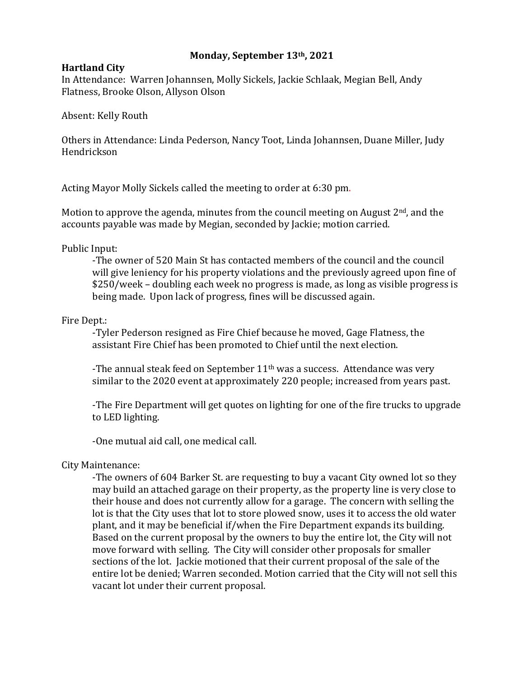# **Monday, September 13th, 2021**

## **Hartland City**

In Attendance: Warren Johannsen, Molly Sickels, Jackie Schlaak, Megian Bell, Andy Flatness, Brooke Olson, Allyson Olson

Absent: Kelly Routh

Others in Attendance: Linda Pederson, Nancy Toot, Linda Johannsen, Duane Miller, Judy Hendrickson

Acting Mayor Molly Sickels called the meeting to order at 6:30 pm.

Motion to approve the agenda, minutes from the council meeting on August  $2<sup>nd</sup>$ , and the accounts payable was made by Megian, seconded by Jackie; motion carried.

Public Input:

-The owner of 520 Main St has contacted members of the council and the council will give leniency for his property violations and the previously agreed upon fine of \$250/week – doubling each week no progress is made, as long as visible progress is being made. Upon lack of progress, fines will be discussed again.

## Fire Dept.:

-Tyler Pederson resigned as Fire Chief because he moved, Gage Flatness, the assistant Fire Chief has been promoted to Chief until the next election.

-The annual steak feed on September 11<sup>th</sup> was a success. Attendance was very similar to the 2020 event at approximately 220 people; increased from years past.

-The Fire Department will get quotes on lighting for one of the fire trucks to upgrade to LED lighting.

-One mutual aid call, one medical call.

## City Maintenance:

-The owners of 604 Barker St. are requesting to buy a vacant City owned lot so they may build an attached garage on their property, as the property line is very close to their house and does not currently allow for a garage. The concern with selling the lot is that the City uses that lot to store plowed snow, uses it to access the old water plant, and it may be beneficial if/when the Fire Department expands its building. Based on the current proposal by the owners to buy the entire lot, the City will not move forward with selling. The City will consider other proposals for smaller sections of the lot. Jackie motioned that their current proposal of the sale of the entire lot be denied; Warren seconded. Motion carried that the City will not sell this vacant lot under their current proposal.